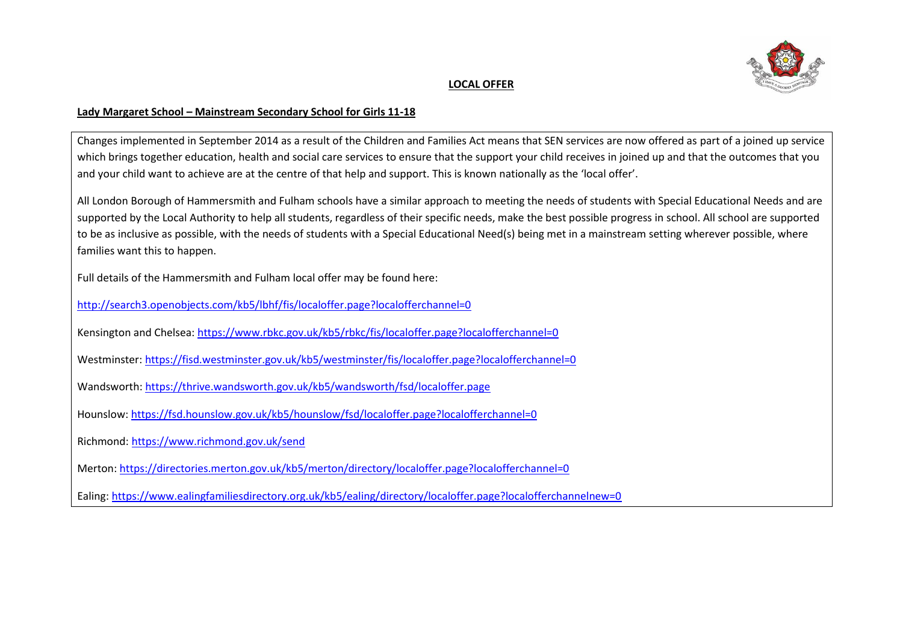

## **LOCAL OFFER**

## **Lady Margaret School – Mainstream Secondary School for Girls 11-18**

Changes implemented in September 2014 as a result of the Children and Families Act means that SEN services are now offered as part of a joined up service which brings together education, health and social care services to ensure that the support your child receives in joined up and that the outcomes that you and your child want to achieve are at the centre of that help and support. This is known nationally as the 'local offer'.

All London Borough of Hammersmith and Fulham schools have a similar approach to meeting the needs of students with Special Educational Needs and are supported by the Local Authority to help all students, regardless of their specific needs, make the best possible progress in school. All school are supported to be as inclusive as possible, with the needs of students with a Special Educational Need(s) being met in a mainstream setting wherever possible, where families want this to happen.

Full details of the Hammersmith and Fulham local offer may be found here:

<http://search3.openobjects.com/kb5/lbhf/fis/localoffer.page?localofferchannel=0>

Kensington and Chelsea:<https://www.rbkc.gov.uk/kb5/rbkc/fis/localoffer.page?localofferchannel=0>

- Westminster:<https://fisd.westminster.gov.uk/kb5/westminster/fis/localoffer.page?localofferchannel=0>
- Wandsworth:<https://thrive.wandsworth.gov.uk/kb5/wandsworth/fsd/localoffer.page>
- Hounslow:<https://fsd.hounslow.gov.uk/kb5/hounslow/fsd/localoffer.page?localofferchannel=0>
- Richmond[: https://www.richmond.gov.uk/send](https://www.richmond.gov.uk/send)
- Merton[: https://directories.merton.gov.uk/kb5/merton/directory/localoffer.page?localofferchannel=0](https://directories.merton.gov.uk/kb5/merton/directory/localoffer.page?localofferchannel=0)

Ealing:<https://www.ealingfamiliesdirectory.org.uk/kb5/ealing/directory/localoffer.page?localofferchannelnew=0>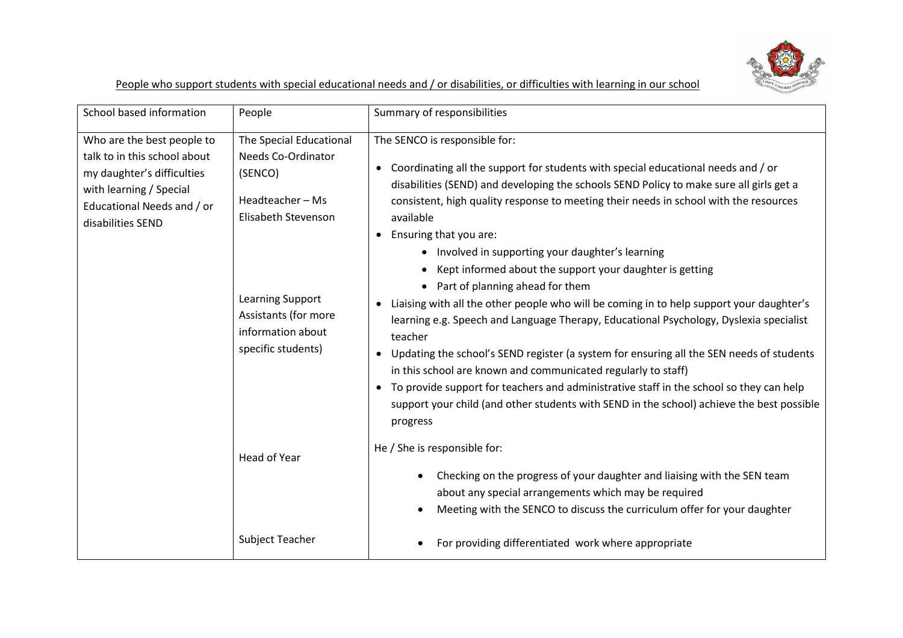

People who support students with special educational needs and / or disabilities, or difficulties with learning in our school

| School based information                                                                                                                                               | People                                                                                                                                                                                          | Summary of responsibilities                                                                                                                                                                                                                                                                                                                                                                                                                                                                                                                                                                                                                                                                                                                                                                                                                                                                                                                                                                                                                                                           |
|------------------------------------------------------------------------------------------------------------------------------------------------------------------------|-------------------------------------------------------------------------------------------------------------------------------------------------------------------------------------------------|---------------------------------------------------------------------------------------------------------------------------------------------------------------------------------------------------------------------------------------------------------------------------------------------------------------------------------------------------------------------------------------------------------------------------------------------------------------------------------------------------------------------------------------------------------------------------------------------------------------------------------------------------------------------------------------------------------------------------------------------------------------------------------------------------------------------------------------------------------------------------------------------------------------------------------------------------------------------------------------------------------------------------------------------------------------------------------------|
| Who are the best people to<br>talk to in this school about<br>my daughter's difficulties<br>with learning / Special<br>Educational Needs and / or<br>disabilities SEND | The Special Educational<br><b>Needs Co-Ordinator</b><br>(SENCO)<br>Headteacher-Ms<br>Elisabeth Stevenson<br>Learning Support<br>Assistants (for more<br>information about<br>specific students) | The SENCO is responsible for:<br>Coordinating all the support for students with special educational needs and / or<br>disabilities (SEND) and developing the schools SEND Policy to make sure all girls get a<br>consistent, high quality response to meeting their needs in school with the resources<br>available<br>• Ensuring that you are:<br>Involved in supporting your daughter's learning<br>٠<br>Kept informed about the support your daughter is getting<br>Part of planning ahead for them<br>Liaising with all the other people who will be coming in to help support your daughter's<br>learning e.g. Speech and Language Therapy, Educational Psychology, Dyslexia specialist<br>teacher<br>Updating the school's SEND register (a system for ensuring all the SEN needs of students<br>in this school are known and communicated regularly to staff)<br>To provide support for teachers and administrative staff in the school so they can help<br>$\bullet$<br>support your child (and other students with SEND in the school) achieve the best possible<br>progress |
|                                                                                                                                                                        | Head of Year                                                                                                                                                                                    | He / She is responsible for:<br>Checking on the progress of your daughter and liaising with the SEN team<br>about any special arrangements which may be required<br>Meeting with the SENCO to discuss the curriculum offer for your daughter                                                                                                                                                                                                                                                                                                                                                                                                                                                                                                                                                                                                                                                                                                                                                                                                                                          |
|                                                                                                                                                                        | Subject Teacher                                                                                                                                                                                 | For providing differentiated work where appropriate                                                                                                                                                                                                                                                                                                                                                                                                                                                                                                                                                                                                                                                                                                                                                                                                                                                                                                                                                                                                                                   |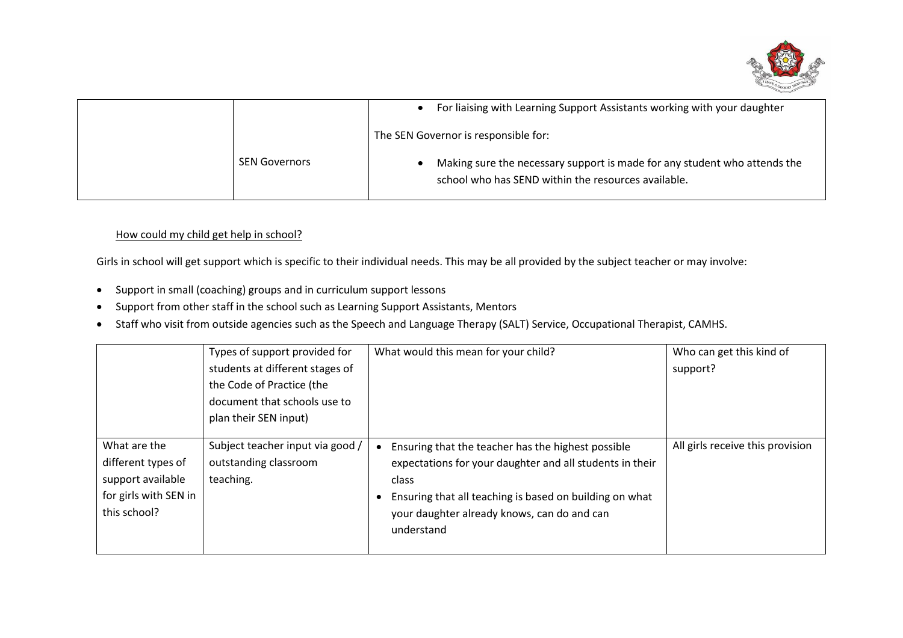

|                      | For liaising with Learning Support Assistants working with your daughter                                                         |
|----------------------|----------------------------------------------------------------------------------------------------------------------------------|
|                      | The SEN Governor is responsible for:                                                                                             |
| <b>SEN Governors</b> | Making sure the necessary support is made for any student who attends the<br>school who has SEND within the resources available. |

## How could my child get help in school?

Girls in school will get support which is specific to their individual needs. This may be all provided by the subject teacher or may involve:

- Support in small (coaching) groups and in curriculum support lessons
- Support from other staff in the school such as Learning Support Assistants, Mentors
- Staff who visit from outside agencies such as the Speech and Language Therapy (SALT) Service, Occupational Therapist, CAMHS.

|                                                                                                  | Types of support provided for<br>students at different stages of<br>the Code of Practice (the<br>document that schools use to<br>plan their SEN input) | What would this mean for your child?                                                                                                                                                                                                            | Who can get this kind of<br>support? |
|--------------------------------------------------------------------------------------------------|--------------------------------------------------------------------------------------------------------------------------------------------------------|-------------------------------------------------------------------------------------------------------------------------------------------------------------------------------------------------------------------------------------------------|--------------------------------------|
| What are the<br>different types of<br>support available<br>for girls with SEN in<br>this school? | Subject teacher input via good /<br>outstanding classroom<br>teaching.                                                                                 | Ensuring that the teacher has the highest possible<br>expectations for your daughter and all students in their<br>class<br>Ensuring that all teaching is based on building on what<br>your daughter already knows, can do and can<br>understand | All girls receive this provision     |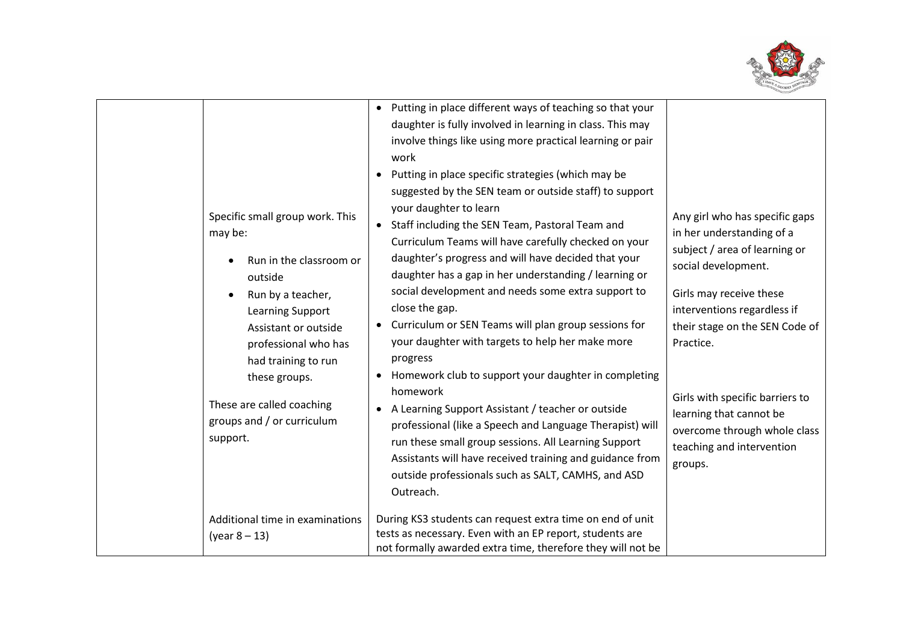

| Specific small group work. This<br>may be:<br>Run in the classroom or<br>outside<br>Run by a teacher,<br>Learning Support<br>Assistant or outside<br>professional who has<br>had training to run<br>these groups.<br>These are called coaching<br>groups and / or curriculum<br>support. | Putting in place different ways of teaching so that your<br>$\bullet$<br>daughter is fully involved in learning in class. This may<br>involve things like using more practical learning or pair<br>work<br>Putting in place specific strategies (which may be<br>suggested by the SEN team or outside staff) to support<br>your daughter to learn<br>Staff including the SEN Team, Pastoral Team and<br>$\bullet$<br>Curriculum Teams will have carefully checked on your<br>daughter's progress and will have decided that your<br>daughter has a gap in her understanding / learning or<br>social development and needs some extra support to<br>close the gap.<br>Curriculum or SEN Teams will plan group sessions for<br>$\bullet$<br>your daughter with targets to help her make more<br>progress<br>Homework club to support your daughter in completing<br>homework<br>A Learning Support Assistant / teacher or outside<br>professional (like a Speech and Language Therapist) will<br>run these small group sessions. All Learning Support<br>Assistants will have received training and guidance from<br>outside professionals such as SALT, CAMHS, and ASD<br>Outreach. | Any girl who has specific gaps<br>in her understanding of a<br>subject / area of learning or<br>social development.<br>Girls may receive these<br>interventions regardless if<br>their stage on the SEN Code of<br>Practice.<br>Girls with specific barriers to<br>learning that cannot be<br>overcome through whole class<br>teaching and intervention<br>groups. |
|------------------------------------------------------------------------------------------------------------------------------------------------------------------------------------------------------------------------------------------------------------------------------------------|------------------------------------------------------------------------------------------------------------------------------------------------------------------------------------------------------------------------------------------------------------------------------------------------------------------------------------------------------------------------------------------------------------------------------------------------------------------------------------------------------------------------------------------------------------------------------------------------------------------------------------------------------------------------------------------------------------------------------------------------------------------------------------------------------------------------------------------------------------------------------------------------------------------------------------------------------------------------------------------------------------------------------------------------------------------------------------------------------------------------------------------------------------------------------------|--------------------------------------------------------------------------------------------------------------------------------------------------------------------------------------------------------------------------------------------------------------------------------------------------------------------------------------------------------------------|
| Additional time in examinations<br>(year 8 – 13)                                                                                                                                                                                                                                         | During KS3 students can request extra time on end of unit<br>tests as necessary. Even with an EP report, students are<br>not formally awarded extra time, therefore they will not be                                                                                                                                                                                                                                                                                                                                                                                                                                                                                                                                                                                                                                                                                                                                                                                                                                                                                                                                                                                               |                                                                                                                                                                                                                                                                                                                                                                    |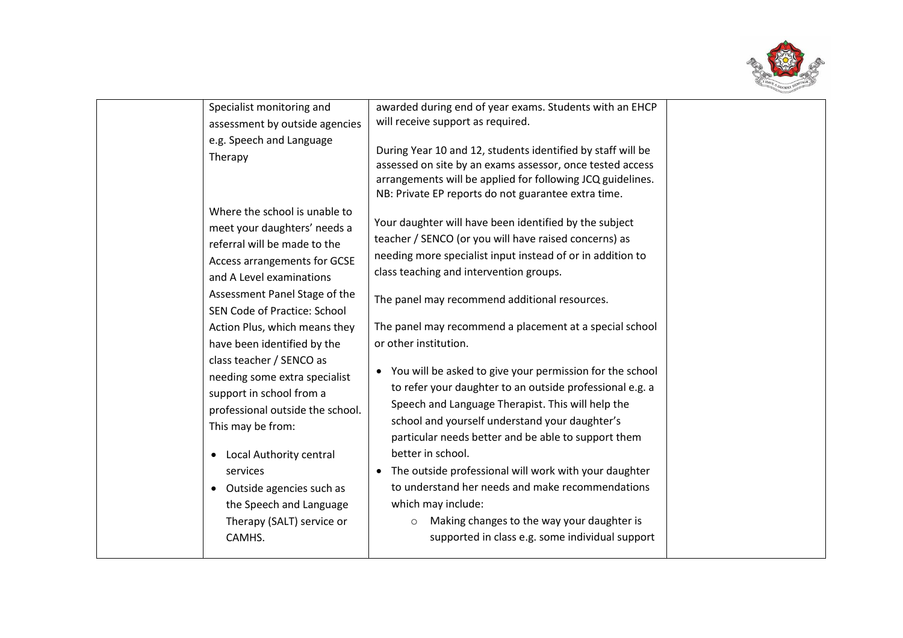

| Specialist monitoring and<br>assessment by outside agencies<br>e.g. Speech and Language<br>Therapy<br>Where the school is unable to<br>meet your daughters' needs a<br>referral will be made to the | awarded during end of year exams. Students with an EHCP<br>will receive support as required.<br>During Year 10 and 12, students identified by staff will be<br>assessed on site by an exams assessor, once tested access<br>arrangements will be applied for following JCQ guidelines.<br>NB: Private EP reports do not guarantee extra time.<br>Your daughter will have been identified by the subject<br>teacher / SENCO (or you will have raised concerns) as |  |
|-----------------------------------------------------------------------------------------------------------------------------------------------------------------------------------------------------|------------------------------------------------------------------------------------------------------------------------------------------------------------------------------------------------------------------------------------------------------------------------------------------------------------------------------------------------------------------------------------------------------------------------------------------------------------------|--|
| Access arrangements for GCSE<br>and A Level examinations<br>Assessment Panel Stage of the<br>SEN Code of Practice: School                                                                           | needing more specialist input instead of or in addition to<br>class teaching and intervention groups.<br>The panel may recommend additional resources.                                                                                                                                                                                                                                                                                                           |  |
| Action Plus, which means they<br>have been identified by the<br>class teacher / SENCO as<br>needing some extra specialist                                                                           | The panel may recommend a placement at a special school<br>or other institution.<br>• You will be asked to give your permission for the school                                                                                                                                                                                                                                                                                                                   |  |
| support in school from a<br>professional outside the school.<br>This may be from:                                                                                                                   | to refer your daughter to an outside professional e.g. a<br>Speech and Language Therapist. This will help the<br>school and yourself understand your daughter's<br>particular needs better and be able to support them                                                                                                                                                                                                                                           |  |
| Local Authority central<br>$\bullet$<br>services<br>• Outside agencies such as<br>the Speech and Language<br>Therapy (SALT) service or<br>CAMHS.                                                    | better in school.<br>The outside professional will work with your daughter<br>to understand her needs and make recommendations<br>which may include:<br>Making changes to the way your daughter is<br>$\circ$<br>supported in class e.g. some individual support                                                                                                                                                                                                 |  |
|                                                                                                                                                                                                     |                                                                                                                                                                                                                                                                                                                                                                                                                                                                  |  |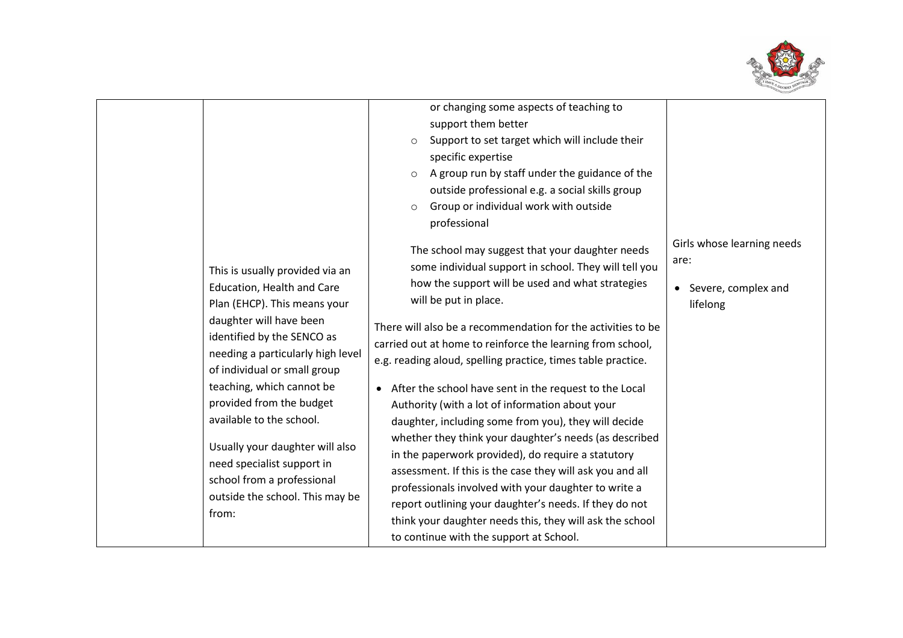

|                                                                                                                                                                                                                                                                                                                                                                                   | or changing some aspects of teaching to                                                                                                                                                                                                                                                                                                                                                                                                                                                                                                                                                                                                                                                                                                            |                                                                       |
|-----------------------------------------------------------------------------------------------------------------------------------------------------------------------------------------------------------------------------------------------------------------------------------------------------------------------------------------------------------------------------------|----------------------------------------------------------------------------------------------------------------------------------------------------------------------------------------------------------------------------------------------------------------------------------------------------------------------------------------------------------------------------------------------------------------------------------------------------------------------------------------------------------------------------------------------------------------------------------------------------------------------------------------------------------------------------------------------------------------------------------------------------|-----------------------------------------------------------------------|
|                                                                                                                                                                                                                                                                                                                                                                                   | support them better                                                                                                                                                                                                                                                                                                                                                                                                                                                                                                                                                                                                                                                                                                                                |                                                                       |
|                                                                                                                                                                                                                                                                                                                                                                                   | Support to set target which will include their<br>$\circ$                                                                                                                                                                                                                                                                                                                                                                                                                                                                                                                                                                                                                                                                                          |                                                                       |
|                                                                                                                                                                                                                                                                                                                                                                                   | specific expertise                                                                                                                                                                                                                                                                                                                                                                                                                                                                                                                                                                                                                                                                                                                                 |                                                                       |
|                                                                                                                                                                                                                                                                                                                                                                                   | A group run by staff under the guidance of the<br>$\circ$                                                                                                                                                                                                                                                                                                                                                                                                                                                                                                                                                                                                                                                                                          |                                                                       |
|                                                                                                                                                                                                                                                                                                                                                                                   | outside professional e.g. a social skills group                                                                                                                                                                                                                                                                                                                                                                                                                                                                                                                                                                                                                                                                                                    |                                                                       |
|                                                                                                                                                                                                                                                                                                                                                                                   | Group or individual work with outside<br>$\circ$                                                                                                                                                                                                                                                                                                                                                                                                                                                                                                                                                                                                                                                                                                   |                                                                       |
|                                                                                                                                                                                                                                                                                                                                                                                   | professional                                                                                                                                                                                                                                                                                                                                                                                                                                                                                                                                                                                                                                                                                                                                       |                                                                       |
| This is usually provided via an<br>Education, Health and Care<br>Plan (EHCP). This means your<br>daughter will have been<br>identified by the SENCO as<br>needing a particularly high level<br>of individual or small group<br>teaching, which cannot be<br>provided from the budget<br>available to the school.<br>Usually your daughter will also<br>need specialist support in | The school may suggest that your daughter needs<br>some individual support in school. They will tell you<br>how the support will be used and what strategies<br>will be put in place.<br>There will also be a recommendation for the activities to be<br>carried out at home to reinforce the learning from school,<br>e.g. reading aloud, spelling practice, times table practice.<br>After the school have sent in the request to the Local<br>$\bullet$<br>Authority (with a lot of information about your<br>daughter, including some from you), they will decide<br>whether they think your daughter's needs (as described<br>in the paperwork provided), do require a statutory<br>assessment. If this is the case they will ask you and all | Girls whose learning needs<br>are:<br>Severe, complex and<br>lifelong |
| school from a professional                                                                                                                                                                                                                                                                                                                                                        | professionals involved with your daughter to write a                                                                                                                                                                                                                                                                                                                                                                                                                                                                                                                                                                                                                                                                                               |                                                                       |
| outside the school. This may be                                                                                                                                                                                                                                                                                                                                                   | report outlining your daughter's needs. If they do not                                                                                                                                                                                                                                                                                                                                                                                                                                                                                                                                                                                                                                                                                             |                                                                       |
| from:                                                                                                                                                                                                                                                                                                                                                                             | think your daughter needs this, they will ask the school                                                                                                                                                                                                                                                                                                                                                                                                                                                                                                                                                                                                                                                                                           |                                                                       |
|                                                                                                                                                                                                                                                                                                                                                                                   | to continue with the support at School.                                                                                                                                                                                                                                                                                                                                                                                                                                                                                                                                                                                                                                                                                                            |                                                                       |
|                                                                                                                                                                                                                                                                                                                                                                                   |                                                                                                                                                                                                                                                                                                                                                                                                                                                                                                                                                                                                                                                                                                                                                    |                                                                       |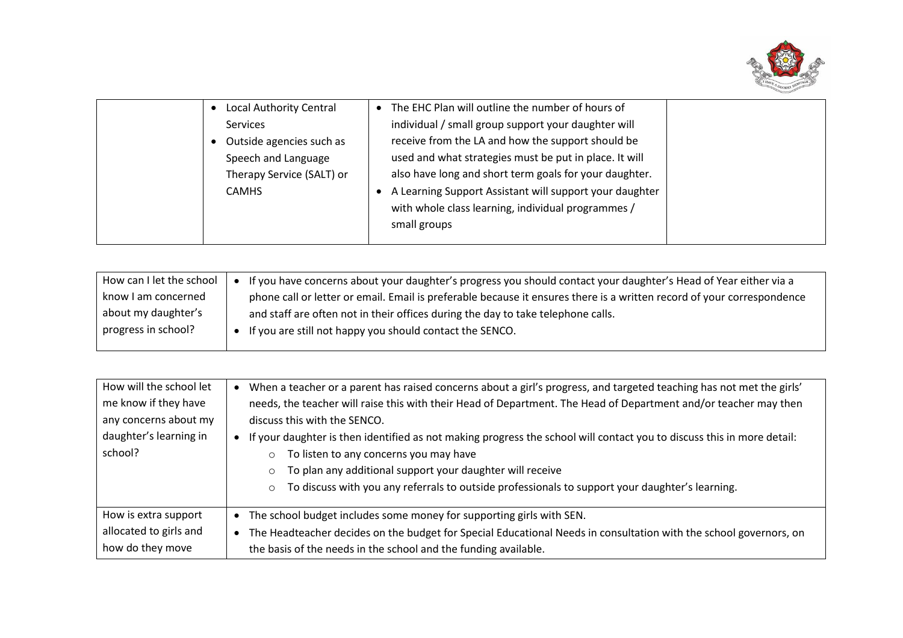

| Local Authority Central   | The EHC Plan will outline the number of hours of        |  |
|---------------------------|---------------------------------------------------------|--|
| <b>Services</b>           | individual / small group support your daughter will     |  |
| Outside agencies such as  | receive from the LA and how the support should be       |  |
| Speech and Language       | used and what strategies must be put in place. It will  |  |
| Therapy Service (SALT) or | also have long and short term goals for your daughter.  |  |
| <b>CAMHS</b>              | A Learning Support Assistant will support your daughter |  |
|                           | with whole class learning, individual programmes /      |  |
|                           | small groups                                            |  |
|                           |                                                         |  |

| How can I let the school | If you have concerns about your daughter's progress you should contact your daughter's Head of Year either via a       |
|--------------------------|------------------------------------------------------------------------------------------------------------------------|
| know I am concerned      | phone call or letter or email. Email is preferable because it ensures there is a written record of your correspondence |
| about my daughter's      | and staff are often not in their offices during the day to take telephone calls.                                       |
| progress in school?      | If you are still not happy you should contact the SENCO.                                                               |
|                          |                                                                                                                        |

| How will the school let | When a teacher or a parent has raised concerns about a girl's progress, and targeted teaching has not met the girls'<br>$\bullet$ |  |  |
|-------------------------|-----------------------------------------------------------------------------------------------------------------------------------|--|--|
| me know if they have    | needs, the teacher will raise this with their Head of Department. The Head of Department and/or teacher may then                  |  |  |
| any concerns about my   | discuss this with the SENCO.                                                                                                      |  |  |
| daughter's learning in  | If your daughter is then identified as not making progress the school will contact you to discuss this in more detail:            |  |  |
| school?                 | To listen to any concerns you may have                                                                                            |  |  |
|                         | To plan any additional support your daughter will receive                                                                         |  |  |
|                         | To discuss with you any referrals to outside professionals to support your daughter's learning.<br>$\circ$                        |  |  |
|                         |                                                                                                                                   |  |  |
| How is extra support    | The school budget includes some money for supporting girls with SEN.<br>$\bullet$                                                 |  |  |
| allocated to girls and  | The Headteacher decides on the budget for Special Educational Needs in consultation with the school governors, on<br>$\bullet$    |  |  |
| how do they move        | the basis of the needs in the school and the funding available.                                                                   |  |  |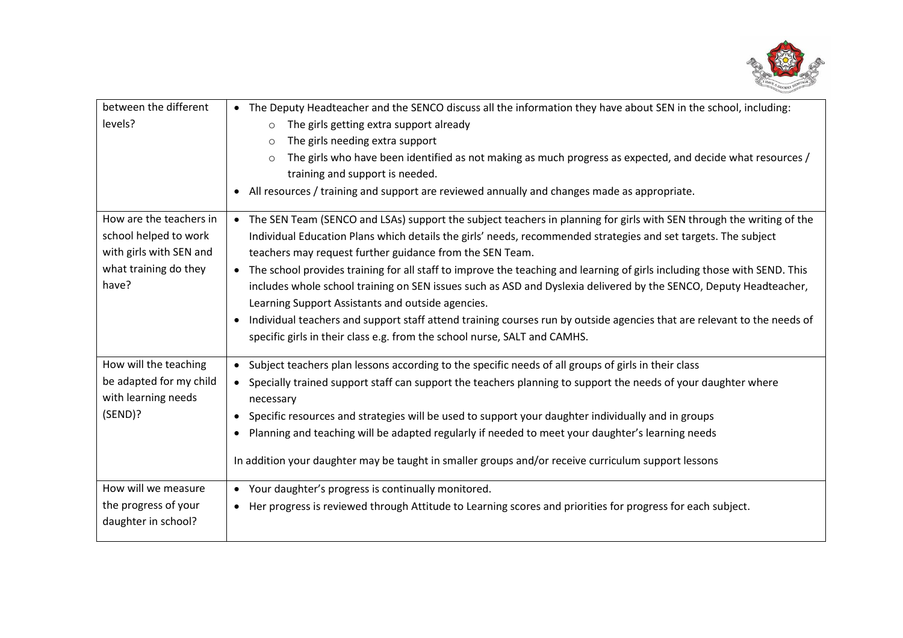

| between the different<br>levels?                                                                              | • The Deputy Headteacher and the SENCO discuss all the information they have about SEN in the school, including:<br>The girls getting extra support already<br>$\circ$                                                                                                                                                                                                                                                                                                                                                                                                                                                                                                                                                                                                                                                            |
|---------------------------------------------------------------------------------------------------------------|-----------------------------------------------------------------------------------------------------------------------------------------------------------------------------------------------------------------------------------------------------------------------------------------------------------------------------------------------------------------------------------------------------------------------------------------------------------------------------------------------------------------------------------------------------------------------------------------------------------------------------------------------------------------------------------------------------------------------------------------------------------------------------------------------------------------------------------|
|                                                                                                               | The girls needing extra support<br>$\circ$<br>The girls who have been identified as not making as much progress as expected, and decide what resources /<br>$\circ$<br>training and support is needed.                                                                                                                                                                                                                                                                                                                                                                                                                                                                                                                                                                                                                            |
|                                                                                                               | All resources / training and support are reviewed annually and changes made as appropriate.                                                                                                                                                                                                                                                                                                                                                                                                                                                                                                                                                                                                                                                                                                                                       |
| How are the teachers in<br>school helped to work<br>with girls with SEN and<br>what training do they<br>have? | • The SEN Team (SENCO and LSAs) support the subject teachers in planning for girls with SEN through the writing of the<br>Individual Education Plans which details the girls' needs, recommended strategies and set targets. The subject<br>teachers may request further guidance from the SEN Team.<br>• The school provides training for all staff to improve the teaching and learning of girls including those with SEND. This<br>includes whole school training on SEN issues such as ASD and Dyslexia delivered by the SENCO, Deputy Headteacher,<br>Learning Support Assistants and outside agencies.<br>Individual teachers and support staff attend training courses run by outside agencies that are relevant to the needs of<br>$\bullet$<br>specific girls in their class e.g. from the school nurse, SALT and CAMHS. |
|                                                                                                               |                                                                                                                                                                                                                                                                                                                                                                                                                                                                                                                                                                                                                                                                                                                                                                                                                                   |
| How will the teaching<br>be adapted for my child<br>with learning needs                                       | • Subject teachers plan lessons according to the specific needs of all groups of girls in their class<br>• Specially trained support staff can support the teachers planning to support the needs of your daughter where<br>necessary                                                                                                                                                                                                                                                                                                                                                                                                                                                                                                                                                                                             |
| (SEND)?                                                                                                       | Specific resources and strategies will be used to support your daughter individually and in groups<br>$\bullet$                                                                                                                                                                                                                                                                                                                                                                                                                                                                                                                                                                                                                                                                                                                   |
|                                                                                                               | Planning and teaching will be adapted regularly if needed to meet your daughter's learning needs                                                                                                                                                                                                                                                                                                                                                                                                                                                                                                                                                                                                                                                                                                                                  |
|                                                                                                               | In addition your daughter may be taught in smaller groups and/or receive curriculum support lessons                                                                                                                                                                                                                                                                                                                                                                                                                                                                                                                                                                                                                                                                                                                               |
| How will we measure                                                                                           | • Your daughter's progress is continually monitored.                                                                                                                                                                                                                                                                                                                                                                                                                                                                                                                                                                                                                                                                                                                                                                              |
| the progress of your<br>daughter in school?                                                                   | • Her progress is reviewed through Attitude to Learning scores and priorities for progress for each subject.                                                                                                                                                                                                                                                                                                                                                                                                                                                                                                                                                                                                                                                                                                                      |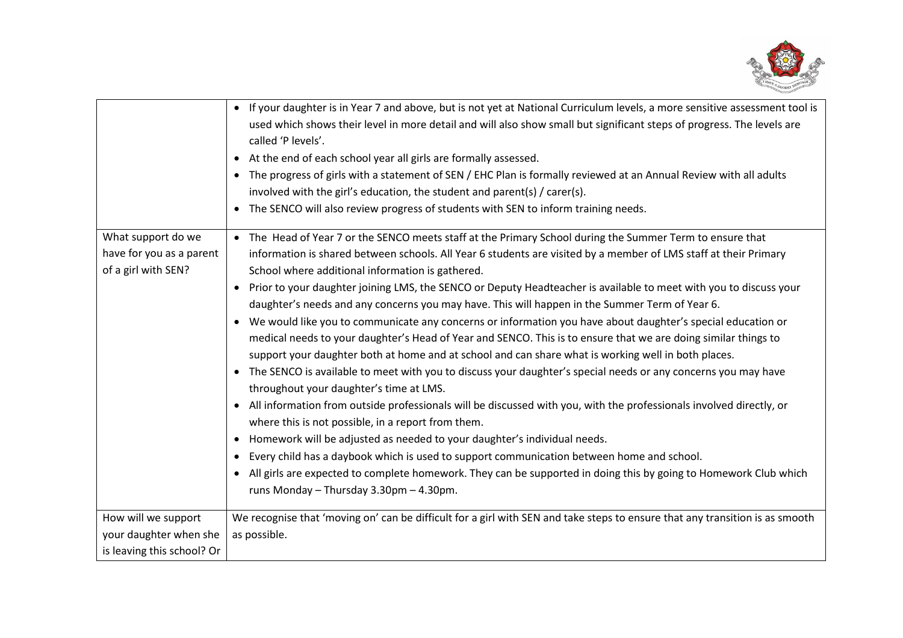

|                                                                       | • If your daughter is in Year 7 and above, but is not yet at National Curriculum levels, a more sensitive assessment tool is<br>used which shows their level in more detail and will also show small but significant steps of progress. The levels are<br>called 'P levels'.<br>• At the end of each school year all girls are formally assessed.<br>• The progress of girls with a statement of SEN / EHC Plan is formally reviewed at an Annual Review with all adults<br>involved with the girl's education, the student and parent(s) / carer(s).<br>The SENCO will also review progress of students with SEN to inform training needs.                                                                                                                                                                                                                                                                                                                                                                                                                                                                                                                                                                                                                                             |
|-----------------------------------------------------------------------|-----------------------------------------------------------------------------------------------------------------------------------------------------------------------------------------------------------------------------------------------------------------------------------------------------------------------------------------------------------------------------------------------------------------------------------------------------------------------------------------------------------------------------------------------------------------------------------------------------------------------------------------------------------------------------------------------------------------------------------------------------------------------------------------------------------------------------------------------------------------------------------------------------------------------------------------------------------------------------------------------------------------------------------------------------------------------------------------------------------------------------------------------------------------------------------------------------------------------------------------------------------------------------------------|
| What support do we<br>have for you as a parent<br>of a girl with SEN? | • The Head of Year 7 or the SENCO meets staff at the Primary School during the Summer Term to ensure that<br>information is shared between schools. All Year 6 students are visited by a member of LMS staff at their Primary<br>School where additional information is gathered.                                                                                                                                                                                                                                                                                                                                                                                                                                                                                                                                                                                                                                                                                                                                                                                                                                                                                                                                                                                                       |
|                                                                       | Prior to your daughter joining LMS, the SENCO or Deputy Headteacher is available to meet with you to discuss your<br>$\bullet$<br>daughter's needs and any concerns you may have. This will happen in the Summer Term of Year 6.<br>• We would like you to communicate any concerns or information you have about daughter's special education or<br>medical needs to your daughter's Head of Year and SENCO. This is to ensure that we are doing similar things to<br>support your daughter both at home and at school and can share what is working well in both places.<br>• The SENCO is available to meet with you to discuss your daughter's special needs or any concerns you may have<br>throughout your daughter's time at LMS.<br>All information from outside professionals will be discussed with you, with the professionals involved directly, or<br>$\bullet$<br>where this is not possible, in a report from them.<br>Homework will be adjusted as needed to your daughter's individual needs.<br>$\bullet$<br>Every child has a daybook which is used to support communication between home and school.<br>All girls are expected to complete homework. They can be supported in doing this by going to Homework Club which<br>runs Monday - Thursday 3.30pm - 4.30pm. |
| How will we support                                                   | We recognise that 'moving on' can be difficult for a girl with SEN and take steps to ensure that any transition is as smooth                                                                                                                                                                                                                                                                                                                                                                                                                                                                                                                                                                                                                                                                                                                                                                                                                                                                                                                                                                                                                                                                                                                                                            |
| your daughter when she<br>is leaving this school? Or                  | as possible.                                                                                                                                                                                                                                                                                                                                                                                                                                                                                                                                                                                                                                                                                                                                                                                                                                                                                                                                                                                                                                                                                                                                                                                                                                                                            |